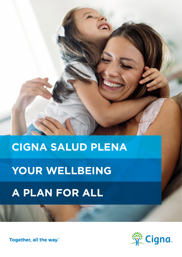

<u>in</u>

# **YOUR WELLBEING**

# **A PLAN FOR ALL**

Together, all the way."

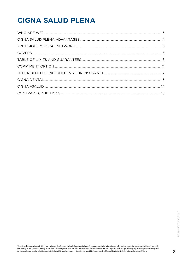## **CIGNA SALUD PLENA**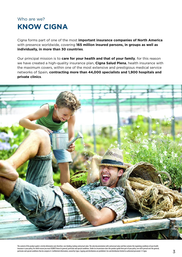### <span id="page-2-0"></span>Who are we? **KNOW CIGNA**

Cigna forms part of one of the most **important insurance companies of North America** with presence worldwide, covering **165 million insured persons, in groups as well as individually, in more than 30 countries**.

Our principal mission is to **care for your health and that of your family**, for this reason we have created a high-quality insurance plan, **Cigna Salud Plena**, health insurance with the maximum covers, within one of the most extensive and prestigious medical service networks of Spain, **contracting more than 44,000 specialists and 1,900 hospitals and private clinics**.

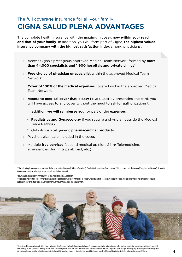### <span id="page-3-0"></span>The full coverage insurance for all your family **CIGNA SALUD PLENA ADVANTAGES**

The complete health insurance with the **maximum cover, now within your reach and that of your family**. In addition, you will form part of Cigna, **the highest valued insurance company with the highest satisfaction index** among physicians<sup>1</sup>.

- **›** Access Cigna's prestigious approved Medical Team Network formed by **more than 44,000 specialists and 1,900 hospitals and private clinics\***.
- **› Free choice of physician or specialist** within the approved Medical Team Network.
- **› Cover of 100% of the medical expenses** covered within the approved Medical Team Network.
- **Access to medical cover that is easy to use.** Just by presenting the card, you will have access to any cover without the need to ask for authorizations<sup>2</sup>.
- **›** In addition, **we will reimburse you** for part of the **expenses**:
	- **Paediatrics and Gynaecology** if you require a physician outside the Medical Team Network.
	- Out-of-hospital generic **pharmaceutical products**.
- **›** Psychological care included in the cover.
- **›** Multiple **free services** (second medical opinion, 24-hr Telemedicine, emergencies during trips abroad, etc.).

\* The following hospitals are not included: Ruber Internacional (Madrid), Teknon (Barcelona), Fundación Jiménez Díaz (Madrid) and Clínica Universitaria de Navarra (Pamplona and Madrid). To obtain information about attached specialists, consult our Medical Network.

<sup>1</sup> Source: Data extracted from the Survey of the Madrid Medical Association.

<sup>2</sup> Cigna does not require prior authorization by its insured members, except in the case of surgery, hospitalization and certain diagnostic tests. It is possible that some centres may require authorizations for certain tests and/or treatments, although Cigna does not require them.

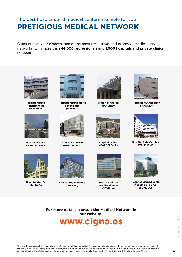### <span id="page-4-0"></span>The best hospitals and medical centers available for you **PRETIGIOUS MEDICAL NETWORK**

Cigna puts at your disposal one of the most prestigious and extensive medical service networks, with more than **44,000 professionals and 1,900 hospitals and private clinics in Spain**.



**Hospital Madrid Montepríncipe (MADRID)**



**Institut Dexeus (BARCELONA)**



**Hospital Madrid Norte Sanchinarro (MADRID)**



**Clínica Corachán (BARCELONA)**



**Hospital Quirón (MADRID)**



**Hospital Quirón (BARCELONA)**



**Hospital MD Anderson (MADRID)**



**Hospital 9 de Octubre (VALENCIA)**



**Hospital Quirón (BILBAO)**



**Clínica Virgen Blanca (BILBAO)**



**Hospital Vithas Sevilla-Aljarafe (SEVILLA)**



**Hospital Viamed Santa Ángela de la Cruz (SEVILLA)**

**For more details, consult the Medical Network in our website:**

### **[www.cigna.es](http://www.cigna.es)**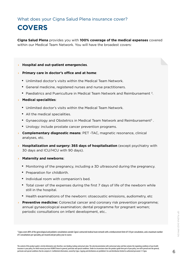### <span id="page-5-0"></span>**COVERS**

**Cigna Salud Plena** provides you with **100% coverage of the medical expenses** covered within our Medical Team Network. You will have the broadest covers:

#### **› Hospital and out-patient emergencies**.

#### **› Primary care in doctor's office and at home**:

- Unlimited doctor's visits within the Medical Team Network.
- General medicine, registered nurses and nurse practitioners.
- Paediatrics and Puericulture in Medical Team Network and Reimbursement 3.

#### **› Medical specialities**:

- Unlimited doctor's visits within the Medical Team Network.
- All the medical specialities.
- Gynaecology and Obstetrics in Medical Team Network and Reimbursement3 .
- Urology: include prostate cancer prevention programs.
- **› Complementary diagnostic means**: PET -TAC, magnetic resonance, clinical analyses, etc.
- **› Hospitalization and surgery: 365 days of hospitalisation** (except psychiatry with 30 days and ICU/HCU with 90 days).
- **› Maternity and newborns**:
	- Monitoring of the pregnancy, including a 3D ultrasound during the pregnancy.
	- Preparation for childbirth.
	- Individual room with companion's bed.
	- Total cover of the expenses during the first 7 days of life of the newborn while still in the hospital.
	- Health examinations of the newborn: otoacoustic emissions, audiometry, etc
- **› Preventive medicine:** Colorectal cancer and coronary risk prevention programme; annual gynaecological examination; dental programme for pregnant women; periodic consultations on infant development, etc..

3 Cigna covers 80% of the gynecological and pediatric consultations outside Cigna's contracted medical team network with a reimbursement limit of € 50 per consultation, and a maximum number of 5 consultations per speciality, per insured and per policy year in course.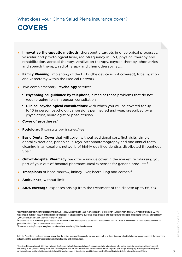### **COVERS**

- **› Innovative therapeutic methods**: therapeutic targets in oncological processes, vascular and proctological laser, radiofrequency in ENT, physical therapy and rehabilitation, aerosol therapy, ventilation therapy, oxygen therapy, phoniatrics and speech therapy, radiotherapy and chemotherapy, etc..
- **› Family Planning**: implanting of the I.U.D. (the device is not covered), tubal ligation and vasectomy within the Medical Network.
- **›** Two complementary **Psychology** services:
	- **Psychological guidance by telephone,** aimed at those problems that do not require going to an in person consultation.
	- **Clinical psychological consultations:** with which you will be covered for up to 10 in person psychological sessions per insured and year, prescribed by a psychiatrist, neurologist or paediatrician.
- **› Cover of prostheses**. 4
- **› Podology:** 6 consults per insured/year.
- **Basic Dental Cover** that will cover, without additional cost, first visits, simple dental extractions, periapical X-rays, orthopantomography and one annual teeth cleaning in an excellent network, of highly qualified dentists distributed throughout Spain.
- **› Out-of-hospital Pharmacy**: we offer a unique cover in the market, reimbursing you part of your out-of-hospital pharmaceutical expenses for generic products.5
- **I Transplants** of bone marrow, kidney, liver, heart, lung and cornea.<sup>6</sup>
- **› Ambulance,** without limit.
- **› AIDS coverage**: expenses arising from the treatment of the disease up to €6,100.

<sup>4</sup> Prosthesis limit per claim event: Cardiac prosthesis (Valves) € 4,000; Coronary stent € 1,800; Pacemaker (no type of defibrillator) € 6,000; Joint prosthesis € 4,500, Vascular prosthesis € 2,000; Osteosynthesis material € 3,000; monofocal intraocular lens in case of cataract surgery € 150 per eye; Breast prosthesis after mastectomy for oncological processes and only in the affected breast € 1,000, Abdominal mesh € 500; Reservoirs in oncology € 600.

<sup>5</sup> Fifty percent of the extra-hospital generic products will be reimbursed with medical prescription and with a reimbursement limit of € 100 per year of insurance. A Spanish bank account must be provided in order for Cigna to make expense reimbursements.

 $^6$  The expenses arising from organ transplants to the Insured that exceed  $\epsilon$  60,000 will not be covered.

Note: The Policy Holder is duly informed and is aware that the medical provision, the diagnostic tests and reports will be performed in Spanish (and/or Catalan according to location). The Insurer does not guarantee that medical personnel and professionals at medical centers speak English.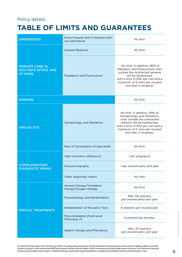#### <span id="page-7-0"></span>Policy details

### **TABLE OF LIMITS AND GUARANTEES**

| <b>EMERGENCES</b>                                                      | Extra-Hospital and in Hospital with-<br>out admittance | No limit                                                                                                                                                                                                                              |
|------------------------------------------------------------------------|--------------------------------------------------------|---------------------------------------------------------------------------------------------------------------------------------------------------------------------------------------------------------------------------------------|
|                                                                        | <b>General Medicine</b>                                | No limit                                                                                                                                                                                                                              |
| <b>PRIMARY CARE IN</b><br><b>DOCTOR'S OFFICE AND</b><br><b>AT HOME</b> | <b>Peadiatrics and Puericulture</b>                    | No limit. In addition, 80% of<br>Paediatric and Puericulture visits<br>outside the contracted network<br>will be reimbursed,<br>with a limit of €50 per visit and a<br>maximum of 5 visits per Insured<br>and year in progress        |
| <b>NURSING</b>                                                         |                                                        | No limit                                                                                                                                                                                                                              |
| <b>SPECIALISTS</b>                                                     | <b>Gynaecology and Obstetrics</b>                      | No limit. In addition, 80% of<br><b>Gynaecology and Obstetrics</b><br>visits outside the contracted<br>network will be reimbursed,<br>with a limit of €50 per visit and a<br>maximum of 5 visits per Insured<br>and year in progress. |
|                                                                        | Rest of Consultation of Specialists                    | No limit                                                                                                                                                                                                                              |
| <b>COMPLEMENTARY</b><br><b>DIAGNOSTIC MEANS</b>                        | High-resolution ultrasound                             | 1 per pregnancy                                                                                                                                                                                                                       |
|                                                                        | Polysomnography                                        | 1 per insured party and year                                                                                                                                                                                                          |
|                                                                        | Other diagnostic means                                 | No limit                                                                                                                                                                                                                              |
|                                                                        | Aerosol therapy/Ventilation<br>therapy/Oxygen therapy  | No limit                                                                                                                                                                                                                              |
|                                                                        | Physiotherapy and Rehabilitation                       | Máx. 60 sessions<br>per insured party and year                                                                                                                                                                                        |
| <b>SPECIAL TREATMENTS</b>                                              | Rehabilitation of the pelvic floor                     | 6 sessions per insured/year                                                                                                                                                                                                           |
|                                                                        | Musculoskeletal shock-wave<br>lithotripsy (1)          | 3 sessions per process.                                                                                                                                                                                                               |
|                                                                        | Speech therapy and Phoniatrics                         | Máx. 30 sessions<br>per insured party and year                                                                                                                                                                                        |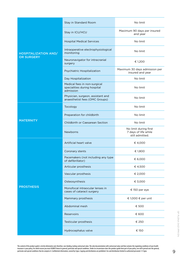|                                                  | Stay in Standard Room                                                     | No limit                                                         |
|--------------------------------------------------|---------------------------------------------------------------------------|------------------------------------------------------------------|
| <b>HOSPITALIZATION AND/</b><br><b>OR SURGERY</b> | Stay in ICU/HCU                                                           | Maximum 90 days per insured<br>and year                          |
|                                                  | <b>Hospital Medical Services</b>                                          | No limit                                                         |
|                                                  | Intraoperative electrophysiological<br>monitoring                         | No limit                                                         |
|                                                  | Neuronavigator for intracranial<br>surgery                                | € 1,200                                                          |
|                                                  | Psychiatric Hospitalization                                               | Maximum 30 days admission per<br>insured and year                |
|                                                  | Day Hospitalization                                                       | No limit                                                         |
|                                                  | Medical fees in non-surgical<br>specialities during hospital<br>admission | No limit                                                         |
|                                                  | Physician, surgeon, assistant and<br>anaesthetist fees (OMC Groups)       | No limit                                                         |
|                                                  | Tocology                                                                  | No limit                                                         |
|                                                  | Preparation for childbirth                                                | No limit                                                         |
| <b>MATERNITY</b>                                 | Childbirth or Caesarean Section                                           | No limit                                                         |
|                                                  | Newborns                                                                  | No limit during first<br>7 days of life while<br>still admitted. |
|                                                  | Artificial heart valve                                                    | € 4,000                                                          |
|                                                  | Coronary stents                                                           | € 1,800                                                          |
|                                                  | Pacemakers (not including any type<br>of defibrillator)                   | € 6,000                                                          |
|                                                  | Articular prosthesis                                                      | € 4,500                                                          |
|                                                  | Vascular prosthesis                                                       | € 2,000                                                          |
|                                                  | Osteosynthesis                                                            | € 3,000                                                          |
| <b>PROSTHESIS</b>                                | Monofocal intraocular lenses in<br>cases of cataract surgery              | € 150 per eye                                                    |
|                                                  | Mammary prosthesis                                                        | € 1,000 € per unit                                               |
|                                                  | Abdominal mesh                                                            | € 500                                                            |
|                                                  | Reservoirs                                                                | € 600                                                            |
|                                                  | Testicular prosthesis                                                     | € 250                                                            |
|                                                  | Hydrocephalus valve                                                       | € 150                                                            |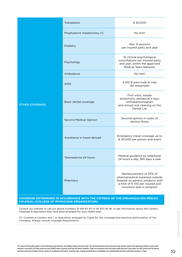|                                                                                       | Transplants                   | € 60,000                                                                                                                                                         |  |
|---------------------------------------------------------------------------------------|-------------------------------|------------------------------------------------------------------------------------------------------------------------------------------------------------------|--|
|                                                                                       |                               |                                                                                                                                                                  |  |
|                                                                                       | Prophylactic mastectomy (1)   | No limit                                                                                                                                                         |  |
|                                                                                       | Podiatry                      | Max. 6 sessions<br>per insured party and year                                                                                                                    |  |
|                                                                                       | Psychology                    | 10 clinical psychological<br>consultations per insured party<br>and year, within the approved<br>Medical Team Network.                                           |  |
|                                                                                       | Ambulance                     | No limit                                                                                                                                                         |  |
| <b>OTHER COVERAGE</b>                                                                 | <b>AIDS</b>                   | 6.100 € para toda la vida<br>del asegurado                                                                                                                       |  |
|                                                                                       | Basic dental coverage         | First visits, simple<br>extractions, periapical x-rays,<br>orthopantomogram<br>and annual oral cleaning on the<br><b>Dental List</b>                             |  |
|                                                                                       | <b>Second Medical Opinion</b> | Second opinion in cases of<br>serious illness                                                                                                                    |  |
|                                                                                       | Assistance in travel abroad   | Emergency travel coverage up to<br>€ 20,000 per person and event                                                                                                 |  |
|                                                                                       | Telemedicine 24 hours         | Medical guidance by telephone<br>24 hours a day, 365 days a year                                                                                                 |  |
|                                                                                       | Pharmacy                      | Reimbursement of 50% of<br>pharmaceutical expenses outside<br>hospital on generic products with<br>a limit of €100 per insured and<br>insurance year in progress |  |
| <b>COVERAGE DETERMINED IN ACCORDANCE WITH THE CRITERIA OF THE ORGANIZACIÓN MÉDICO</b> |                               |                                                                                                                                                                  |  |

Consult our website or call our phone numbers 91 418 40 40 or 93 301 06 56, to get information about the Centers, Hospitals & Specialists that have been arranged for your health plan.

**COLEGIAL (COLLEGE OF PHYSICIANS ORGANIZATION).**

(1) Covered at Centers and / or Specialists arranged by Cigna for this coverage and previous authorization of the Company. Always consult coverage requirements.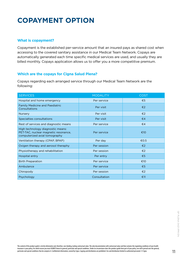### <span id="page-10-0"></span>**COPAYMENT OPTION**

#### **What is copayment?**

Copayment is the established per-service amount that an insured pays as shared cost when accessing to the covered sanitary assistance in our Medical Team Network. Copays are automatically generated each time specific medical services are used, and usually they are billed monthly. Copays application allows us to offer you a more competitive premium.

#### **Which are the copays for Cigna Salud Plena?**

Copays regarding each arranged service through our Medical Team Network are the following:

| <b>SERVICES</b>                                                                                            | <b>MODALITY</b> | <b>COST</b>             |
|------------------------------------------------------------------------------------------------------------|-----------------|-------------------------|
| Hospital and home emergency                                                                                | Per service     | €5                      |
| <b>Family Medicine and Paediatric</b><br>Consultations                                                     | Per visit       | €2                      |
| <b>Nursery</b>                                                                                             | Per visit       | €2                      |
| Specialties consultations                                                                                  | Per visit       | €4                      |
| Rest of services and diagnostic means                                                                      | Per service     | €4                      |
| High technology diagnostic means:<br>PET-TAC, nuclear magnetic resonance,<br>computerized axial tomography | Per service     | €10                     |
| Ventilation therapy (CPAP, BPAP)                                                                           | Per day         | €0.5                    |
| Oxigen therapy and aerosol theraphy                                                                        | Per session     | $\epsilon$ 2            |
| Physiotherapy and rehabilitation                                                                           | Per session     | $\epsilon$ 2            |
| Hospital entry                                                                                             | Per entry       | $\epsilon$ 5            |
| <b>Birth Preparation</b>                                                                                   | Per service     | €10                     |
| Ambulance                                                                                                  | Per service     | $\epsilon$ <sub>5</sub> |
| Chiropody                                                                                                  | Per session     | €2                      |
| Psychology                                                                                                 | Consultation    | €11                     |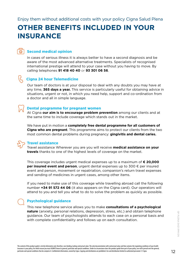### <span id="page-11-0"></span>**OTHER BENEFITS INCLUDED IN YOUR INSURANCE**

#### **Second medical opinion**

In cases of serious illness it is always better to have a second diagnosis and be aware of the most advanced alternative treatments. Specialists of recognised international prestige will attend to your case without you having to move. By calling telephones **91 418 40 40** or **93 301 06 56**.

#### **Cigna 24 hour Telemedicine**

Our team of doctors is at your disposal to deal with any doubts you may have at any time, **365 days a year.** This service is particularly useful for obtaining advice in situations, urgent or not, in which you need help, support and co-ordination from a doctor and all in simple language.

#### **Dental programme for pregnant women**

At Cigna **our aim is to encourage problem prevention** among our clients and at the same time to include coverage which stands out in the market.

We have put in motion a **completely free dental programme for all customers of Cigna who are pregnant**. This programme aims to protect our clients from the two most common dental problems during pregnancy: **gingivitis and dental caries.**

⊕

#### **Travel assistance**

Travel assistance Wherever you are you will receive **medical assistance on your travels** thanks to one of the highest levels of coverage on the market.

This coverage includes urgent medical expenses up to a maximum of **€ 20,000 per insured event and person**, urgent dental expenses up to 300 € per insured event and person, movement or repatriation, companion's return travel expenses and sending of medicines in urgent cases, among other items.

If you need to make use of this coverage while travelling abroad call the following number **+34 91 572 44 06** (it also appears on the Cigna card). Our operators will attend to you and tell you what to do to solve the problem as quickly as possible.

#### **Psychological guidance**

This new telephone service allows you to make **consultations of a psychological nature** (anxiety, personal relations, depression, stress, etc.) and obtain telephone guidance. Our team of psychologists attends to each case on a personal basis and with complete confidentiality and follows up on each consultation.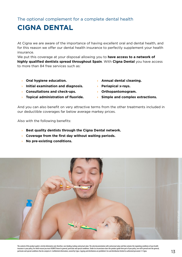<span id="page-12-0"></span>The optional complement for a complete dental health

### **CIGNA DENTAL**

At Cigna we are aware of the importance of having excellent oral and dental health, and for this reason we offer our dental health insurance to perfectly supplement your health insurance.

We put this coverage at your disposal allowing you to **have access to a network of highly qualified dentists spread throughout Spain**. With **Cigna Dental** you have access to more than 84 free services such as:

- **› Oral hygiene education.**
- **› Initial examination and diagnosis.**
- **› Consultations and check-ups.**
- **› Topical administration of fluoride. › Simple and complex extractions.**
- **› Annual dental cleaning.**
- **› Periapical x-rays.**
- **› Orthopantomogram.**
	-

And you can also benefit on very attractive terms from the other treatments included in our deductible coverages far below average markey prices.

Also with the following benefits:

- **› Best quality dentists through the Cigna Dental network.**
- **› Coverage from the first day without waiting periods.**
- **› No pre-existing conditions.**

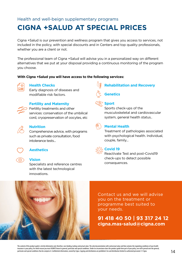#### <span id="page-13-0"></span>Health and well-beign supplementary programs

### **CIGNA +SALUD AT SPECIAL PRICES**

Cigna +Salud is our prevention and wellness program that gives you access to services, not included in the policy, with special discounts and in Centers and top quality professionals, whether you are a client or not.

The professional team of Cigna +Salud will advise you in a personalized way on different alternatives that we put at your disposal providing a continuous monitoring of the program you choose.

#### **With Cigna +Salud you will have access to the following services:**



#### **Health Checks**

Early diagnosis of diseases and modifiable risk factors.



#### **Fertility and Maternity**

**Fertility treatments and other** services: conservation of the umbilical cord, cryopreservation of oocytes, etc



#### **Nutrition**

Comprehensive advice, with programs such as private consultation, food intolerance tests...



#### **Aesthetics**

#### **Vision**

Specialists and reference centres with the latest technological innovations.



### **Genetics**



#### **Sport**

Sports check-ups of the musculoskeletal and cardiovascular system, general health status..



#### **Mental Health**

Treatment of pathologies associated with psychological health. Individual, couple, family...



#### **Covid 19**

Reactívate Test and post-Covid19 check-ups to detect possible consequences.



Contact us and we will advise you on the treatment or programme best suited to your needs.

#### **91 418 40 50 | 93 317 24 12 cigna.mas-salud@cigna.com**